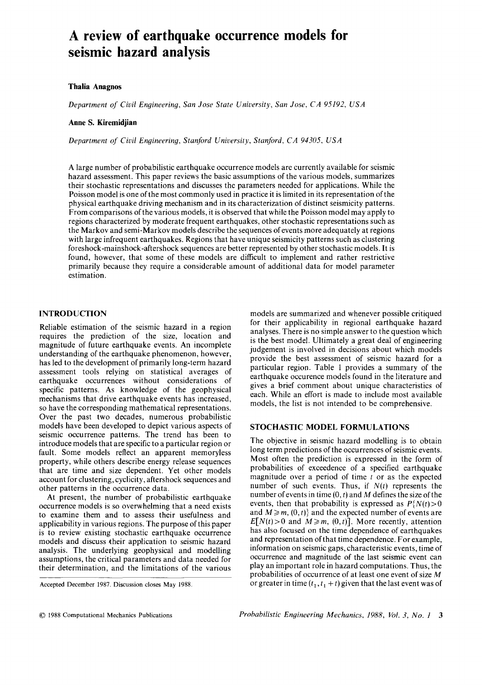# **A review of earthquake occurrence models for seismic hazard analysis**

## **Thalia Anagnos**

*Department of Civil Engineering, San Jose State University, San Jose, CA 95192, USA* 

#### **Anne S. Kiremidjian**

*Department of Civil Engineering, Stanford University, Stanford, CA 94305, USA* 

A large number of probabilistic earthquake occurrence models are currently available for seismic hazard assessment. This paper reviews the basic assumptions of the various models, summarizes their stochastic representations and discusses the parameters needed for applications. While the Poisson model is one of the most commonly used in practice it is limited in its representation of the physical earthquake driving mechanism and in its characterization of distinct seismicity patterns. From comparisons of the various models, it is observed that while the Poisson model may apply to regions characterized by moderate frequent earthquakes, other stochastic representations such as the Markov and semi-Markov models describe the sequences of events more adequately at regions with large infrequent earthquakes. Regions that have unique seismicity patterns such as clustering foreshock-mainshock-aftershock sequences are better represented by other stochastic models. It is found, however, that some of these models are difficult to implement and rather restrictive primarily because they require a considerable amount of additional data for model parameter estimation.

# INTRODUCTION

Reliable estimation of the seismic hazard in a region requires the prediction of the size, location and magnitude of future earthquake events. An incomplete understanding of the earthquake phenomenon, however, has led to the development of primarily long-term hazard assessment tools relying on statistical averages of earthquake occurrences without considerations of specific patterns. As knowledge of the geophysical mechanisms that drive earthquake events has increased, so have the corresponding mathematical representations. Over the past two decades, numerous probabilistic models have been developed to depict various aspects of seismic occurrence patterns. The trend has been to introduce models that are specific to a particular region or fault. Some models reflect an apparent memoryless property, while others describe energy release sequences that are time and size dependent. Yet other models account for clustering, cyclicity, aftershock sequences and other patterns in the occurrence data.

At present, the number of probabilistic earthquake occurrence models is so overwhelming that a need exists to examine them and to assess their usefulness and applicability in various regions. The purpose of this paper is to review existing stochastic earthquake occurrence models and discuss their application to seismic hazard analysis. The underlying geophysical and modelling assumptions, the critical parameters and data needed for their determination, and the limitations of the various

models are summarized and whenever possible critiqued for their applicability in regional earthquake hazard analyses. There is no simple answer to the question which is the best model. Ultimately a great deal of engineering judgement is involved in decisions about which models provide the best assessment of seismic hazard for a particular region. Table 1 provides a summary of the earthquake occurence models found in the literature and gives a brief comment about unique characteristics of each. While an effort is made to include most available models, the list is not intended to be comprehensive.

## STOCHASTIC MODEL FORMULATIONS

The objective in seismic hazard modelling is to obtain long term predictions of the occurrences of seismic events. Most often the prediction is expressed in the form of probabilities of exceedence of a specified earthquake magnitude over a period of time  $t$  or as the expected number of such events. Thus, if  $N(t)$  represents the number of events in time  $(0, t)$  and M defines the size of the events, then that probability is expressed as  $P\{N(t) > 0\}$ and  $M \ge m$ ,  $(0, t)$  and the expected number of events are  $E[N(t) > 0$  and  $M \ge m$ ,  $(0, t)$ ]. More recently, attention has also focused on the time dependence of earthquakes and representation of that time dependence. For example, information on seismic gaps, characteristic events, time of occurrence and magnitude of the last seismic event can play an important role in hazard computations. Thus, the probabilities of occurrence of at least one event of size M or greater in time  $(t_1, t_1 + t)$  given that the last event was of

Accepted December 1987. Discussion closes May 1988.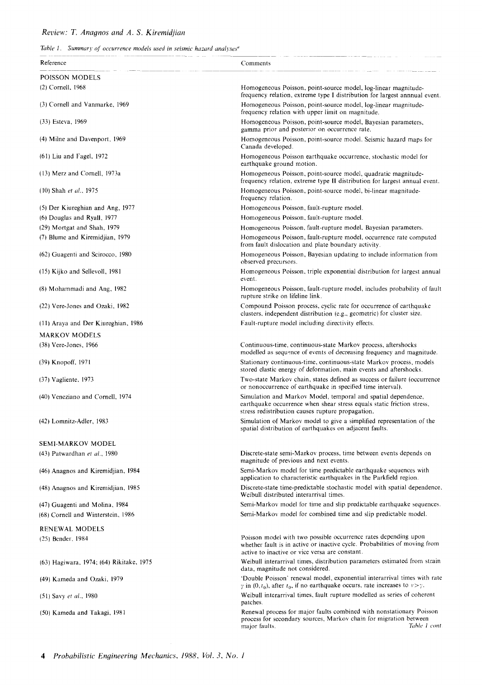# Table 1. Summary of occurrence models used in seismic hazard analyses<sup>a</sup>

| Reference                                | Comments                                                                                                                                                                                        |
|------------------------------------------|-------------------------------------------------------------------------------------------------------------------------------------------------------------------------------------------------|
| POISSON MODELS                           |                                                                                                                                                                                                 |
| (2) Cornell, 1968                        | Homogeneous Poisson, point-source model, log-linear magnitude-<br>frequency relation, extreme type I distribution for largest annoual event.                                                    |
| (3) Cornell and Vanmarke, 1969           | Homogeneous Poisson, point-source model, log-linear magnitude-<br>frequency relation with upper limit on magnitude.                                                                             |
| (33) Esteva, 1969                        | Homogeneous Poisson, point-source model, Bayesian parameters,<br>gamma prior and posterior on occurrence rate.                                                                                  |
| (4) Milne and Davenport, 1969            | Homogeneous Poisson, point-source model. Seismic hazard maps for<br>Canada developed.                                                                                                           |
| (61) Liu and Fagel, 1972                 | Homogeneous Poisson earthquake occurrence, stochastic model for<br>earthquake ground motion.                                                                                                    |
| (13) Merz and Cornell, 1973a             | Homogeneous Poisson, point-source model, quadratic magnitude-<br>frequency relation, extreme type II distribution for largest annual event.                                                     |
| $(10)$ Shah et al., 1975                 | Homogeneous Poisson, point-source model, bi-linear magnitude-<br>frequency relation.                                                                                                            |
| (5) Der Kiureghian and Ang, 1977         | Homogeneous Poisson, fault-rupture model.                                                                                                                                                       |
| (6) Douglas and Ryall, 1977              | Homogeneous Poisson, fault-rupture model.                                                                                                                                                       |
| (29) Mortgat and Shah, 1979              | Homogeneous Poisson, fault-rupture model, Bayesian parameters.                                                                                                                                  |
| (7) Blume and Kiremidiian, 1979          | Homogeneous Poisson, fault-rupture model, occurrence rate computed<br>from fault dislocation and plate boundary activity.                                                                       |
| (62) Guagenti and Scirocco, 1980         | Homogeneous Poisson, Bayesian updating to include information from<br>observed precursors.                                                                                                      |
| (15) Kijko and Sellevoll, 1981           | Homogeneous Poisson, triple exponential distribution for largest annual<br>event.                                                                                                               |
| (8) Mohammadi and Ang, 1982              | Homogeneous Poisson, fault-rupture model, includes probability of fault<br>rupture strike on lifeline link.                                                                                     |
| (22) Vere-Jones and Ozaki, 1982          | Compound Poisson process, cyclic rate for occurrence of earthquake<br>clusters, independent distribution (e.g., geometric) for cluster size.                                                    |
| (11) Araya and Der Kiureghian, 1986      | Fault-rupture model including directivity effects.                                                                                                                                              |
| <b>MARKOV MODELS</b>                     |                                                                                                                                                                                                 |
| (38) Vere-Jones, 1966                    | Continuous-time, continuous-state Markov process, aftershocks<br>modelled as sequence of events of decreasing frequency and magnitude.                                                          |
| (39) Knopoff, 1971                       | Stationary continuous-time, continuous-state Markov process, models<br>stored elastic energy of deformation, main events and aftershocks.                                                       |
| (37) Vagliente, 1973                     | Two-state Markov chain, states defined as success or failure (occurrence<br>or nonoccurrence of earthquake in specified time interval).                                                         |
| (40) Veneziano and Cornell, 1974         | Simulation and Markov Model, temporal and spatial dependence,<br>earthquake occurrence when shear stress equals static friction stress,<br>stress redistribution causes rupture propagation.    |
| (42) Lomnitz-Adler, 1983                 | Simulation of Markov model to give a simplified representation of the<br>spatial distribution of earthquakes on adjacent faults.                                                                |
| SEMI-MARKOV MODEL                        |                                                                                                                                                                                                 |
| (43) Patwardhan et al., 1980             | Discrete-state semi-Markov process, time between events depends on<br>magnitude of previous and next events.                                                                                    |
| (46) Anagnos and Kiremidjian, 1984       | Semi-Markov model for time predictable earthquake sequences with<br>application to characteristic earthquakes in the Parkfield region.                                                          |
| (48) Anagnos and Kiremidjian, 1985       | Discrete-state time-predictable stochastic model with spatial dependence,<br>Weibull distributed interarrival times.                                                                            |
| (47) Guagenti and Molina, 1984           | Semi-Markov model for time and slip predictable earthquake sequences.                                                                                                                           |
| (68) Cornell and Winterstein, 1986       | Semi-Markov model for combined time and slip predictable model.                                                                                                                                 |
| RENEWAL MODELS                           |                                                                                                                                                                                                 |
| (25) Bender, 1984                        | Poisson model with two possible occurrence rates depending upon<br>whether fault is in active or inactive cycle. Probabilities of moving from<br>active to inactive or vice versa are constant. |
| (63) Hagiwara, 1974; (64) Rikitake, 1975 | Weibull interarrival times, distribution parameters estimated from strain<br>data, magnitude not considered.                                                                                    |
| (49) Kameda and Ozaki, 1979              | 'Double Poisson' renewal model, exponential interarrival times with rate<br>$\gamma$ in (0, t <sub>0</sub> ), after t <sub>0</sub> , if no earthquake occurs, rate increases to $v > \gamma$ .  |
| $(51)$ Savy et al., 1980                 | Weibull interarrival times, fault rupture modelled as series of coherent<br>patches.                                                                                                            |
| (50) Kameda and Takagi, 1981             | Renewal process for major faults combined with nonstationary Poisson<br>process for secondary sources, Markov chain for migration between<br>Table 1 cont.<br>major faults.                     |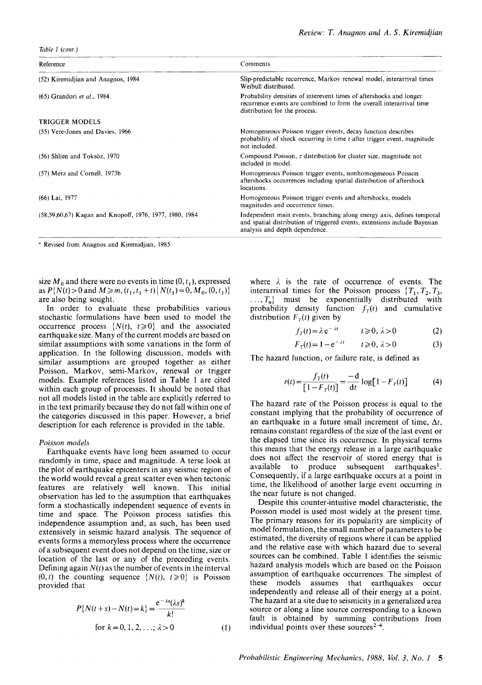*Table 1 (cont.)* 

| Reference                                               | Comments                                                                                                                                                                              |
|---------------------------------------------------------|---------------------------------------------------------------------------------------------------------------------------------------------------------------------------------------|
| (52) Kiremidian and Anagnos, 1984                       | Slip-predictable recurrence, Markov renewal model, interarrival times<br>Weibull distributed.                                                                                         |
| (65) Grandori et al., 1984                              | Probability densities of interevent times of aftershocks and longer<br>recurrence events are combined to form the overall interarrival time<br>distribution for the process.          |
| <b>TRIGGER MODELS</b>                                   |                                                                                                                                                                                       |
| (55) Vere-Jones and Davies, 1966                        | Homogeneous Poisson trigger events, decay function describes<br>probability of shock occurring in time t after trigger event, magnitude<br>not included.                              |
| $(56)$ Shlien and Toksöz, 1970                          | Compound Poisson, z distribution for cluster size, magnitude not<br>included in model.                                                                                                |
| $(57)$ Merz and Cornell, 1973b                          | Homogeneous Poisson trigger events, nonhomogeneous Poisson<br>aftershocks occurrences including spatial distribution of aftershock<br>locations.                                      |
| (66) Lai, 1977                                          | Homogeneous Poisson trigger events and aftershocks, models<br>magnitudes and occurrence times.                                                                                        |
| (58,59,60,67) Kagan and Knopoff, 1976, 1977, 1980, 1984 | Independent main events, branching along energy axis, defines temporal<br>and spatial distribution of triggered events, extensions include Bayesian<br>analysis and depth dependence. |

Revised from Anagnos and Kiremidjian, 1985

size  $M_0$  and there were no events in time  $(0, t_1)$ , expressed as  $P\{N(t) > 0 \text{ and } M \ge m, (t_1, t_1 + t) \mid N(t_1) = 0, M_0, (0, t_1)\}$ are also being sought.

In order to evaluate these probabilities various stochastic formulations have been used to model the occurrence process  $\{N(t), t\geq 0\}$  and the associated earthquake size. Many of the current models are based on similar assumptions with some variations in the form of application. In the following discussion, models with similar assumptions are grouped together as either Poisson, Markov, semi-Markov, renewal or trigger models. Example references listed in Table 1 are cited within each group of processes. It should be noted that not all models listed in the table are explicitly referred to in the text primarily because they do not fall within one of the categories discussed in this paper. However, a brief description for each reference is provided in the table.

#### *Poisson models*

Earthquake events have long been assumed to occur randomly in time, space and magnitude. A terse look at the plot of earthquake epicenters in any seismic region of the world would reveal a great scatter even when tectonic features are relatively well known. This initial observation has led to the assumption that earthquakes form a stochastically independent sequence of events in time and space. The Poisson process satisfies this independence assumption and, as such, has been used extensively in seismic hazard analysis. The sequence of events forms a memoryless process where the occurrence of a subsequent event does not depend on the time, size or location of the last or any of the preceeding events. Defining again *N(t)* as the number of events in the interval  $(0, t)$  the counting sequence  $\{N(t), t\geq 0\}$  is Poisson provided that

$$
P\{N(t+s) - N(t) = k\} = \frac{e^{-\lambda s}(\lambda s)^k}{k!}
$$
  
for  $k = 0, 1, 2, ...; \lambda > 0$  (1)

where  $\lambda$  is the rate of occurrence of events. The interarrival times for the Poisson process  $\{T_1, T_2, T_3,$  $..., T_n$ } must be exponentially distributed with probability density function  $f<sub>T</sub>(t)$  and cumulative distribution  $F<sub>T</sub>(t)$  given by

$$
f_T(t) = \lambda e^{-\lambda t} \qquad t \ge 0, \ \lambda > 0 \tag{2}
$$

$$
F_T(t) = 1 - e^{-\lambda t} \qquad t \ge 0, \ \lambda > 0 \tag{3}
$$

The hazard function, or failure rate, is defined as

$$
r(t) = \frac{f_T(t)}{[1 - F_T(t)]} = \frac{-d}{dt} \log[1 - F_T(t)]
$$
 (4)

The hazard rate of the Poisson process is equal to the constant implying that the probability of occurrence of an earthquake in a future small increment of time,  $\Delta t$ , remains constant regardless of the size of the last event or the elapsed time since its occurrence. In physical terms this means that the energy release in a large earthquake does not affect the reservoir of stored energy that is available to produce subsequent earthquakes<sup>1</sup>. Consequently, if a large earthquake occurs at a point in time, the likelihood of another large event occurring in the near future is not changed.

Despite this counter-intuitive model characteristic, the Poisson model is used most widely at the present time. The primary reasons for its popularity are simplicity of model formulation, the small number of parameters to be estimated, the diversity of regions where it can be applied and the relative ease with which hazard due to several sources can be combined. Table 1 identifies the seismic hazard analysis models which are based on the Poisson assumption of earthquake occurrences. The simplest of these models assumes that earthquakes occur independently and release all of their energy at a point. The hazard at a site due to seismicity in a generalized area source or along a line source corresponding to a known fault is obtained by summing contributions from individual points over these sources $2-4$ .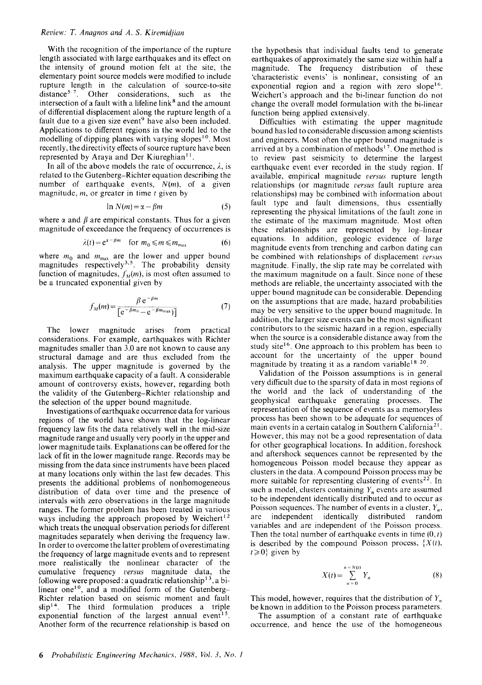With the recognition of the importance of the rupture length associated with large earthquakes and its effect on the intensity of ground motion felt at the site, the elementary point source models were modified to include rupture length in the calculation of source-to-site distance  $5 - 7$ . Other considerations, such as the intersection of a fault with a lifeline link<sup>8</sup> and the amount of differential displacement along the rupture length of a fault due to a given size event<sup>9</sup> have also been included. Applications to different regions in the world led to the modelling of dipping planes with varying slopes $10$ . Most recently, the directivity effects of source rupture have been represented by Araya and Der Kiureghian<sup>11</sup>.

In all of the above models the rate of occurrence,  $\lambda$ , is related to the Gutenberg-Richter equation describing the number of earthquake events, *N(m),* of a given magnitude,  $m$ , or greater in time  $t$  given by

$$
\ln N(m) = \alpha - \beta m \tag{5}
$$

where  $\alpha$  and  $\beta$  are empirical constants. Thus for a given magnitude of exceedance the frequency of occurrences is

$$
\lambda(t) = e^{x - \beta m} \quad \text{for } m_0 \le m \le m_{\text{max}} \tag{6}
$$

where  $m_0$  and  $m_{\text{max}}$  are the lower and upper bound magnitudes respectively<sup>3,5</sup>. The probability density function of magnitudes,  $f_{M}(m)$ , is most often assumed to be a truncated exponential given by

$$
f_M(m) = \frac{\beta e^{-\beta m}}{\left[e^{-\beta m_0} - e^{-\beta m_{\text{max}}}\right]}\tag{7}
$$

The lower magnitude arises from practical considerations. For example, earthquakes with Richter magnitudes smaller than 3.0 are not known to cause any structural damage and are thus excluded from the analysis. The upper magnitude is governed by the maximum earthquake capacity of a fault. A considerable amount of controversy exists, however, regarding both the validity of the Gutenberg-Richter relationship and the selection of the upper bound magnitude.

Investigations of earthquake occurrence data for various regions of the world have shown that the log-linear frequency law fits the data relatively well in the mid-size magnitude range and usually very poorly in the upper and lower magnitude tails. Explanations can be offered for the lack of fit in the lower magnitude range. Records may be missing from the data since instruments have been placed at many locations only within the last few decades. This presents the additional problems of nonhomogeneous distribution of data over time and the presence of intervals with zero observations in the large magnitude ranges. The former problem has been treated in various ways including the approach proposed by Weichert<sup>12</sup> which treats the unequal observation periods for different magnitudes separately when deriving the frequency law. In order to overcome the latter problem of overestimating the frequency of large magnitude events and to represent more realistically the nonlinear character of the cumulative frequency *versus* magnitude data, the following were proposed: a quadratic relationship<sup>13</sup>, a bilinear one<sup>10</sup>, and a modified form of the Gutenberg-Richter relation based on seismic moment and fault  $slip<sup>14</sup>$ . The third formulation produces a triple exponential function of the largest annual event<sup>15</sup>. Another form of the recurrence relationship is based on the hypothesis that individual faults tend to generate earthquakes of approximately the same size within half a magnitude. The frequency distribution of these 'characteristic events' is nonlinear, consisting of an exponential region and a region with zero slope<sup>16</sup>. Weichert's approach and the bi-linear function do not change the overall model formulation with the bi-linear function being applied extensively.

Difficulties with estimating the upper magnitude bound has led to considerable discussion among scientists and engineers. Most often the upper bound magnitude is arrived at by a combination of methods<sup>17</sup>. One method is to review past seismicity to determine the largest earthquake event ever recorded in the study region. If available, empirical magnitude *versus* rupture length relationships (or magnitude *versus* fault rupture area relationships) may be combined with information about fault type and fault dimensions, thus essentially representing the physical limitations of the fault zone in the estimate of the maximum magnitude. Most often these relationships are represented by log-linear equations. In addition, geologic evidence of large magnitude events from trenching and carbon dating can be combined with relationships of displacement *versus*  magnitude. Finally, the slip rate may be correlated with the maximum magnitude on a fault. Since none of these methods are reliable, the uncertainty associated with the upper bound magnitude can be considerable. Depending on the assumptions that are made, hazard probabilities may be very sensitive to the upper bound magnitude. In addition, the larger size events can be the most significant contributors to the seismic hazard in a region, especially when the source is a considerable distance away from the study site<sup>16</sup>. One approach to this problem has been to account for the uncertainty of the upper bound magnitude by treating it as a random variable<sup>18-20</sup>.

Validation of the Poisson assumptions is in general very difficult due to the sparsity of data in most regions of the world and the lack of understanding of the geophysical earthquake generating processes. The representation of the sequence of events as a memoryless process has been shown to be adequate for sequences of main events in a certain catalog in Southern California<sup>21</sup>. However, this may not be a good representation of data for other geographical locations. In addition, foreshock and aftershock sequences cannot be represented by the homogeneous Poisson model because they appear as clusters in the data. A compound Poisson process may be more suitable for representing clustering of events $22$ . In such a model, clusters containing  $Y_n$  events are assumed to be independent identically distributed and to occur as Poisson sequences. The number of events in a cluster,  $Y_n$ , are independent identically distributed random variables and are independent of the Poisson process. Then the total number of earthquake events in time  $(0, t)$ is described by the compound Poisson process,  ${X(t)}$ ,  $t \ge 0$ } given by

$$
X(t) = \sum_{n=0}^{n=N(t)} Y_n
$$
 (8)

This model, however, requires that the distribution of  $Y_n$ be known in addition to the Poisson process parameters.

The assumption of a constant rate of earthquake occurrence, and hence the use of the homogeneous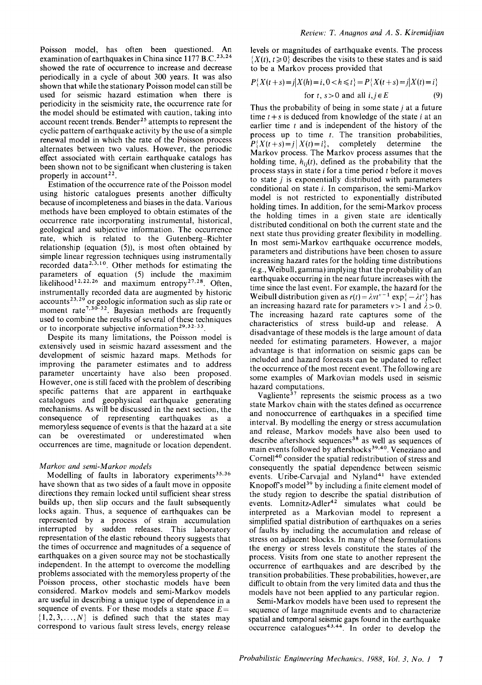Poisson model, has often been questioned. An examination of earthquakes in China since 1177 B.C.<sup>23,24</sup> showed the rate of occurrence to increase and decrease periodically in a cycle of about 300 years. It was also shown that while the stationary Poisson model can still be used for seismic hazard estimation when there is periodicity in the seismicity rate, the occurrence rate for the model should be estimated with caution, taking into account recent trends. Bender<sup>25</sup> attempts to represent the cyclic pattern of earthquake activity by the use of a simple renewal model in which the rate of the Poisson process alternates between two values. However, the periodic effect associated with certain earthquake catalogs has been shown not to be significant when clustering is taken properly in account<sup>22</sup>.

Estimation of the occurrence rate of the Poisson model using historic catalogues presents another difficulty because of incompleteness and biases in the data. Various methods have been employed to obtain estimates of the occurrence rate incorporating instrumental, historical, geological and subjective information. The occurrence rate, which is related to the Gutenberg-Richter relationship (equation (5)), is most often obtained by simple linear regression techniques using instrumentally recorded data $2,3,10$ . Other methods for estimating the parameters of equation (5) include the maximim likelihood<sup>12,22,26</sup> and maximum entropy<sup>27,28</sup>. Often, instrumentally recorded data are augmented by historic accounts<sup>23,29</sup> or geologic information such as slip rate or moment rate<sup> $7,30-32$ </sup>. Bayesian methods are frequently used to combine the results of several of these techniques or to incorporate subjective information<sup>29,32-33</sup>.

Despite its many limitations, the Poisson model is extensively used in seismic hazard assessment and the development of seismic hazard maps. Methods for improving the parameter estimates and to address parameter uncertainty have also been proposed. However, one is still faced with the problem of describing specific patterns that are apparent in earthquake catalogues and geophysical earthquake generating mechanisms. As will be discussed in the next section, the consequence of representing earthquakes as a memoryless sequence of events is that the hazard at a site can be overestimated or underestimated when occurrences are time, magnitude or location dependent.

## *Markov and semi-Markov models*

Modelling of faults in laboratory experiments<sup>35,36</sup> have shown that as two sides of a fault move in opposite directions they remain locked until sufficient shear stress builds up, then slip occurs and the fault subsequently locks again. Thus, a sequence of earthquakes can be represented by a process of strain accumulation interrupted by sudden releases. This laboratory representation of the elastic rebound theory suggests that the times of occurrence and magnitudes of a sequence of earthquakes on a given source may not be stochastically independent. In the attempt to overcome the modelling problems associated with the memoryless property of the Poisson process, other stochastic models have been considered. Markov models and semi-Markov models are useful in describing a unique type of dependence in a sequence of events. For these models a state space  $E=$  $\{1,2,3,\ldots,N\}$  is defined such that the states may correspond to various fault stress levels, energy release levels or magnitudes of earthquake events. The process  ${X(t), t \geq 0}$  describes the visits to these states and is said to be a Markov process provided that

$$
P\{X(t+s) = j | X(h) = i, 0 < h \le t\} = P\{X(t+s) = j | X(t) = i\}
$$
\nfor  $t, s > 0$  and all  $i, j \in E$ 

\n(9)

Thus the probability of being in some state  $i$  at a future time  $t + s$  is deduced from knowledge of the state i at an earlier time  $t$  and is independent of the history of the process up to time  $t$ . The transition probabilities,  $P{X(t+s)=j|X(t)=i}$ , completely determine the Markov process. The Markov process assumes that the holding time,  $h_{ij}(t)$ , defined as the probability that the process stays in state  $i$  for a time period  $t$  before it moves to state  $j$  is exponentially distributed with parameters conditional on state i. In comparison, the semi-Markov model is not restricted to exponentially distributed holding times. In addition, for the semi-Markov process the holding times in a given state are identically distributed conditional on both the current state and the next state thus providing greater flexibility in modelling. In most semi-Markov earthquake occurrence models, parameters and distributions have been chosen to assure increasing hazard rates for the holding time distributions (e.g., Weibull, gamma) implying that the probability of an earthquake occurring in the near future increases with the time since the last event. For example, the hazard for the Weibull distribution given as  $r(t) = \lambda v t^{v-1} \exp\{-\lambda t^v\}$  has an increasing hazard rate for parameters  $v > 1$  and  $\lambda > 0$ . The increasing hazard rate captures some of the characteristics of stress build-up and release. A disadvantage of these models is the large amount of data needed for estimating parameters. However, a major advantage is that information on seismic gaps can be included and hazard forecasts can be updated to reflect the occurrence of the most recent event. The following are some examples of Markovian models used in seismic hazard computations.

Vagliente $3^7$  represents the seismic process as a two state Markov chain with the states defined as occurrence and nonoccurrence of earthquakes in a specified time interval. By modelling the energy or stress accumulation and release, Markov models have also been used to describe aftershock sequences 38 as well as sequences of main events followed by aftershocks<sup>39,40</sup>. Veneziano and Cornell<sup>40</sup> consider the spatial redistribution of stress and consequently the spatial dependence between seismic events. Uribe-Carvajal and Nyland<sup>41</sup> have extended Knopoff's model 39 by including a finite element model of the study region to describe the spatial distribution of events. Lomnitz-Adler<sup>42</sup> simulates what could be interpreted as a Markovian model to represent a simplified spatial distribution of earthquakes on a series of faults by including the accumulation and release of stress on adjacent blocks. In many of these formulations the energy or stress levels constitute the states of the process. Visits from one state to another represent the occurrence of earthquakes and are described by the transition probabilities. These probabilities, however, are difficult to obtain from the very limited data and thus the models have not been applied to any particular region.

Semi-Markov models have been used to represent the sequence of large magnitude events and to characterize spatial and temporal seismic gaps found in the earthquake occurrence catalogues<sup> $4,4,44$ </sup>. In order to develop the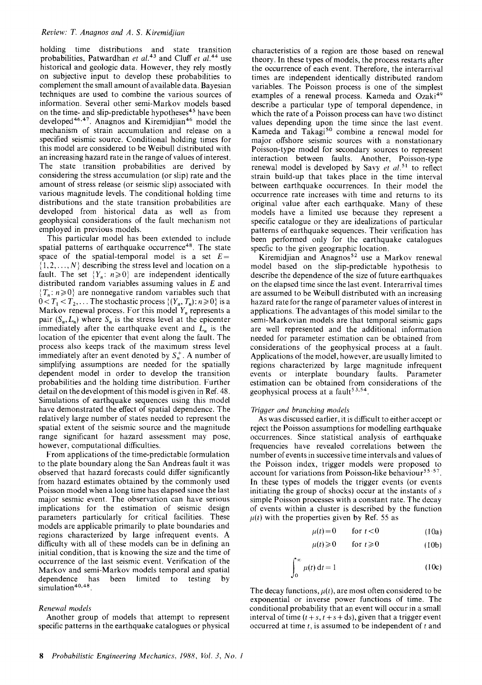holding time distributions and state transition probabilities, Patwardhan *et al.<sup>43</sup>* and Cluff *et al.<sup>44</sup>* use historical and geologic data. However, they rely mostly on subjective input to develop these probabilities to complement the small amount of available data. Bayesian techniques are used to combine the various sources of information. Several other semi-Markov models based on the time- and slip-predictable hypotheses 45 have been developed 46'47. Anagnos and Kiremidjian 46 model the mechanism of strain accumulation and release on a specified seismic source. Conditional holding times for this model are considered to be Weibull distributed with an increasing hazard rate in the range of values of interest. The state transition probabilities are derived by considering the stress accumulation (or slip) rate and the amount of stress release (or seismic slip) associated with various magnitude levels. The conditional holding time distributions and the state transition probabilities are developed from historical data as well as from geophysical considerations of the fault mechanism not employed in previous models.

This particular model has been extended to include spatial patterns of earthquake occurrence<sup>48</sup>. The state space of the spatial-temporal model is a set  $E=$  $\{1, 2, \ldots, N\}$  describing the stress level and location on a fault. The set  $\{Y_n: n \ge 0\}$  are independent identically distributed random variables assuming values in E and  ${T_n: n \ge 0}$  are nonnegative random variables such that  $0 < T_1 < T_2, \ldots$  The stochastic process  $\{(Y_n, T_n): n \ge 0\}$  is a Markov renewal process. For this model  $Y_n$  represents a pair  $(S_n, L_n)$  where  $S_n$  is the stress level at the epicenter immediately after the earthquake event and  $L<sub>n</sub>$  is the location of the epicenter that event along the fault. The process also keeps track of the maximum stress level immediately after an event denoted by  $S_n^+$ . A number of simplifying assumptions are needed for the spatially dependent model in order to develop the transition probabilities and the holding time distribution. Further detail on the development of this model is given in Ref. 48. Simulations of earthquake sequences using this model have demonstrated the effect of spatial dependence. The relatively large number of states needed to represent the spatial extent of the seismic source and the magnitude range significant for hazard assessment may pose, however, computational difficulties.

From applications of the time-predictable formulation to the plate boundary along the San Andreas fault it was observed that hazard forecasts could differ significantly from hazard estimates obtained by the commonly used Poisson model when a long time has elapsed since the last major sesmic event. The observation can have serious implications for the estimation of seismic design parameters particularly for critical facilities. These models are applicable primarily to plate boundaries and regions characterized by large infrequent events. A difficulty with all of these models can be in defining an initial condition, that is knowing the size and the time of occurrence of the last seismic event. Verification of the Markov and semi-Markov models temporal and spatial dependence has been limited to testing by simulation<sup>40,48</sup>.

## *Renewal models*

Another group of models that attempt to represent specific patterns in the earthquake catalogues or physical

characteristics of a region are those based on renewal theory. In these types of models, the process restarts after the occurrence of each event. Therefore, the interarrival times are independent identically distributed random variables. The Poisson process is one of the simplest examples of a renewal process. Kameda and Ozaki<sup>49</sup> describe a particular type of temporal dependence, in which the rate of a Poisson process can have two distinct values depending upon the time since the last event. Kameda and Takagi<sup>50</sup> combine a renewal model for major offshore seismic sources with a nonstationary Poisson-type model for secondary sources to represent interaction between faults. Another, Poisson-type renewal model is developed by Savy *et al.*<sup>51</sup> to reflect strain build-up that takes place in the time interval between earthquake occurrences. In their model the occurrence rate increases with time and returns to its original value after each earthquake. Many of these models have a limited use because they represent a specific catalogue or they are idealizations of particular patterns of earthquake sequences. Their verification has been performed only for the earthquake catalogues specfic to the given geographic location.

Kiremidjian and Anagnos<sup>52</sup> use a Markov renewal model based on the slip-predictable hypothesis to describe the dependence of the size of future earthquakes on the elapsed time since the last event. Interarrival times are assumed to be Weibull distributed with an increasing hazard rate for the range of parameter values of interest in applications. The advantages of this model similar to the semi-Markovian models are that temporal seismic gaps are well represented and the additional information needed for parameter estimation can be obtained from considerations of the geophysical process at a fault. Applications of the model, however, are usually limited to regions characterized by large magnitude infrequent events or interplate boundary faults. Parameter estimation can be obtained from considerations of the geophysical process at a fault<sup>53,54</sup>.

## *Trigger and branching models*

As was discussed earlier, it is difficult to either accept or reject the Poisson assumptions for modelling earthquake occurrences. Since statistical analysis of earthquake frequencies have revealed correlations between the number of events in successive time intervals and values of the Poisson index, trigger models were proposed to account for variations from Poisson-like behaviour<sup>55-57</sup>. In these types of models the trigger events (or events initiating the group of shocks) occur at the instants of s simple Poisson processes with a constant rate. The decay of events within a cluster is described by the function  $\mu(t)$  with the properties given by Ref. 55 as

$$
\mu(t) = 0 \qquad \text{for } t < 0 \tag{10a}
$$

$$
\mu(t) \ge 0 \qquad \text{for } t \ge 0 \tag{10b}
$$

$$
\int_0^\infty \mu(t) \, \mathrm{d}t = 1 \tag{10c}
$$

The decay functions,  $\mu(t)$ , are most often considered to be exponential or inverse power functions of time. The conditional probability that an event will occur in a small interval of time  $(t + s, t + s + ds)$ , given that a trigger event occurred at time  $t$ , is assumed to be independent of  $t$  and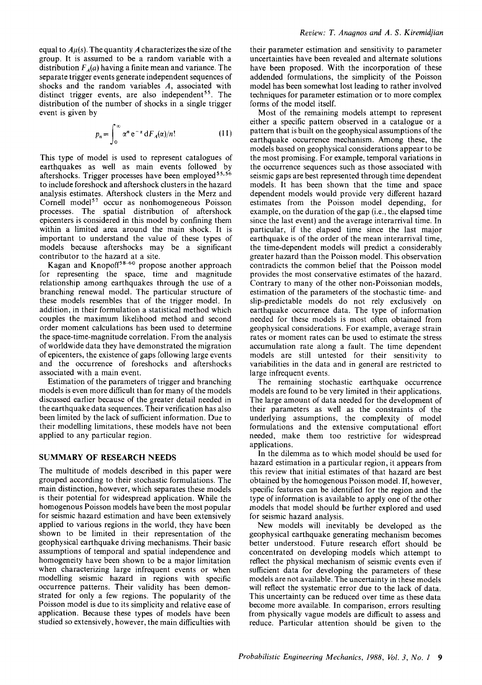equal to  $A\mu(s)$ . The quantity A characterizes the size of the group. It is assumed to be a random variable with a distribution  $F_A(a)$  having a finite mean and variance. The separate trigger events generate independent sequences of shocks and the random variables A, associated with distinct trigger events, are also independent<sup>55</sup>. The distribution of the number of shocks in a single trigger event is given by

$$
p_n = \int_0^\infty \alpha^n \, \mathrm{e}^{-\alpha} \, \mathrm{d}F_A(\alpha)/n! \tag{11}
$$

This type of model is used to represent catalogues of earthquakes as well as main events followed by aftershocks. Trigger processes have been employed<sup>55,56</sup> to include foreshock and aftershock clusters in the hazard analysis estimates. Aftershock clusters in the Merz and Cornell model<sup>57</sup> occur as nonhomogeneous Poisson processes. The spatial distribution of aftershock epicenters is considered in this model by confining them within a limited area around the main shock. It is important to understand the value of these types of models because aftershocks may be a significant contributor to the hazard at a site.

Kagan and Knopoff<sup>58-60</sup> propose another approach for representing the space, time and magnitude relationship among earthquakes through the use of a branching renewal model. The particular structure of these models resembles that of the trigger model. In addition, in their formulation a statistical method which couples the maximum likelihood method and second order moment calculations has been used to determine the space-time-magnitude correlation. From the analysis of worldwide data they have demonstrated the migration of epicenters, the existence of gaps following large events and the occurrence of foreshocks and aftershocks associated with a main event.

Estimation of the parameters of trigger and branching models is even more difficult than for many of the models discussed earlier because of the greater detail needed in the earthquake data sequences. Their verification has also been limited by the lack of sufficient information. Due to their modelling limitations, these models have not been applied to any particular region.

# **SUMMARY OF RESEARCH NEEDS**

The multitude of models described in this paper were grouped according to their stochastic formulations. The main distinction, however, which separates these models is their potential for widespread application. While the homogenous Poisson models have been the most popular for seismic hazard estimation and have been extensively applied to various regions in the world, they have been shown to be limited in their representation of the geophysical earthquake driving mechanisms. Their basic assumptions of temporal and spatial independence and homogeneity have been shown to be a major limitation when characterizing large infrequent events or when modelling seismic hazard in regions with specific occurrence patterns. Their validity has been demonstrated for only a few regions. The popularity of the Poisson model is due to its simplicity and relative ease of application. Because these types of models have been studied so extensively, however, the main difficulties with

their parameter estimation and sensitivity to parameter uncertainties have been revealed and alternate solutions have been proposed. With the incorporation of these addended formulations, the simplicity of the Poisson model has been somewhat lost leading to rather involved techniques for parameter estimation or to more complex forms of the model itself.

Most of the remaining models attempt to represent either a specific pattern observed in a catalogue or a pattern that is built on the geophysical assumptions of the earthquake occurrence mechanism. Among these, the models based on geophysical considerations appear to be the most promising. For example, temporal variations in the occurrence sequences such as those associated with seismic gaps are best represented through time dependent models. It has been shown that the time and space dependent models would provide very different hazard estimates from the Poisson model depending, for example, on the duration of the gap (i.e., the elapsed time since the last event) and the average interarrival time. In particular, if the elapsed time since the last major earthquake is of the order of the mean interarrival time, the time-dependent models will predict a considerably greater hazard than the Poisson model. This observation contradicts the common belief that the Poisson model provides the most conservative estimates of the hazard. Contrary to many of the other non-Poissonian models, estimation of the parameters of the stochastic time- and slip-predictable models do not rely exclusively on earthquake occurrence data. The type of information needed for these models is most often obtained from geophysical considerations. For example, average strain rates or moment rates can be used to estimate the stress accumulation rate along a fault. The time dependent models are still untested for their sensitivity to variabilities in the data and in general are restricted to large infrequent events.

The remaining stochastic earthquake occurrence models are found to be very limited in their applications. The large amount of data needed for the development of their parameters as well as the constraints of the underlying assumptions, the complexity of model formulations and the extensive computational effort needed, make them too restrictive for widespread applications.

In the dilemma as to which model should be used for hazard estimation in a particular region, it appears from this review that initial estimates of that hazard are best obtained by the homogenous Poisson model. If, however, specific features can be identified for the region and the type of information is available to apply one of the other models that model should be further explored and used for seismic hazard analysis.

New models will inevitably be developed as the geophysical earthquake generating mechanism becomes better understood. Future research effort should be concentrated on developing models which attempt to reflect the physical mechanism of seismic events even if sufficient data for developing the parameters of these models are not available. The uncertainty in these models will reflect the systematic error due to the lack of data. This uncertainty can be reduced over time as these data become more available. In comparison, errors resulting from physically vague models are difficult to assess and reduce. Particular attention should be given to the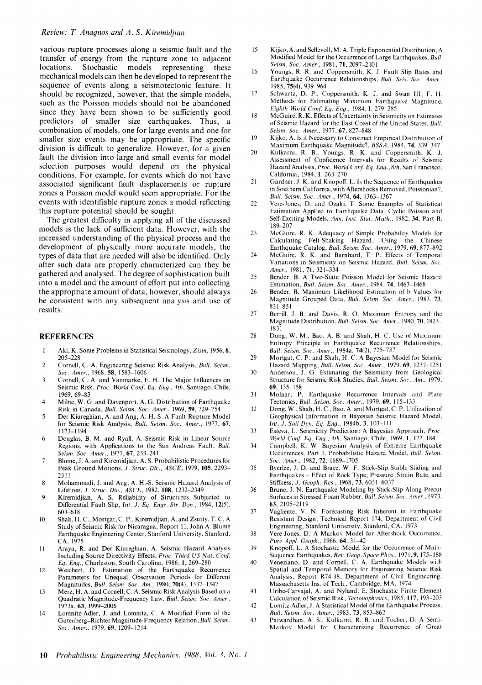#### *Review: T. Anagnos and A. S. Kiremidjian*

various rupture processes along a seismic fault and the transfer of energy from the rupture zone to adjacent locations. Stochastic models representing these mechanical models can then be developed to represent the sequence of events along a seismotectonic feature. It should be recognized, however, that the simple models, such as the Poisson models should not be abandoned since they have been shown to be sufficiently good predictors of smaller size earthquakes. Thus, a combination of models, one for large events and one for smaller size events may be appropriate. The specific division is difficult to generalize. However, for a given fault the division into large and small events for model selection purposes would depend on the physical conditions. For example, for events which do not have associated significant fault displacements or rupture zones a Poisson model would seem appropriate. For the events with identifiable rupture zones a model reflecting this rupture potential should be sought.

The greatest difficulty in applying all of the discussed models is the lack of sufficient data. However, with the increased understanding of the physical process and the development of physically more accurate models, the types of data that are needed will also be identified. Only after such data are properly characterized can they be gathered and analysed. The degree of sophistication built into a model and the amount of effort put into collecting the appropriate amount of data, however, should always be consistent with any subsequent analysis and use of results.

#### **REFERENCES**

- 1 Aki, K. Some Problems in Statistical Seismology, *Zisin,* 1956, 8, 205-228
- 2 Cornell, C. A. Engineering Seismic Risk Analysis, *Bull. Seism. Soc. Amer.,* 1968, 58, 1583-1606
- 3 Cornell, C. A. and Vanmarke, E. H. The Major Influences on Seismic Risk, *Proc. World Conf. Eq. Eng., 4th,* Santiago, Chile, 1969, 69-83
- 4 Milne, W. G. and Davenport, A. G. Distribution of Earthquake Risk in Canada, *Bull. Seism. Soc. Amer.,* 1969, 59, 729-754
- 5 Der Kiureghian, A. and Ang, A. H.-S. A Fault Rupture Model for Seismic Risk Analysis, *Bull. Seism. Soc. Amer.,* 1977, 67, **1173-1194**
- 6 Douglas, B. M. and Ryall, A. Seismic Risk in Linear Source Regions, with Applications to the San Andreas Fault, *Bull. Seism. Soc. Amer.,* 1977, 67, 233-241
- 7 Blume, J. A. and Kiremidjian, A. S. Probabilistic Procedures for Peak Ground Motions, *J. Struc. Div., ASCE,* 1979, 105, 2293- 2311
- 8 Mohammadi, J. and Ang, A. H.-S. Seismic Hazard Analysis of Lifelines, *J. Struc. Div., ASCE,* 1982, 108, 1232-2349
- 9 Kiremidjian, A. S. Reliability of Structures Subjected to Differential Fault Slip, *Int. J. Eq. Engr. Str. Dyn.,* 1984, 12(5), 603~518
- 10 Shah, H. C., Mortgat, C. P., Kiremidjian, A. and Zsutty, T. C. A Study of Seismic Risk for Nicaragua, Report 11, John A. Blume Earthquake Engineering Center, Stanford University, Stanford, CA, 1975
- 11 Araya, R. and Der Kiureghian, A. Seismic Hazard Analysis Including Source Directivity Effects, *Proc. Third US Nat. Con[~ Eq. Eng.,* Charleston, South Carolina, 1986, 1,269-280
- 12 Weichert, D. Estimation of the Earthquake Recurrence Parameters for Unequal Observation Periods for Different Magnitudes, *Bull. Seism. Soc. Am.*, 1980, 70(4), 1337-1347
- 13 Merz, H. A. and Cornell, C. A. Seismic Risk Analysis Based on a Quadratic Magnitude-Frequency Law, *Bull. Seism. Soc. Amer.,*  1973a, 63, 1999-2006
- 14 Lomnitz-Adler, J. and Lomnitz, C. A Modified Form of the Gutenberg-Richter Magnitude-Frequency Relation, *Bull. Seism. Sot'. Amer.,* 1979, 69, 1209-1214
- 15 Kijko, A. and Seflevoll, M. A. Triple Exponential Distribution, A Modified Model for the Occurrence of Large Earthquakes, *Bull. Seism. Soc. Amer.,* 1981, 71, 2097-2101
- 16 Youngs, R. R. and Coppersmith, K. J. Fault Slip Rates and Earthquake Occurrence Relationships, *Bull. Seis. Soc. Amer.,*  1985, 75(4), 939-964
- 17 Schwartz, D. P., Coppersmith, K. J. and Swan III, F. H. Methods for Estimating Maximum Earthquake Magnitude, *Eighth World Conf. Eg. Eng., 1984, I, 279-285*
- 18 McGuire, R. K. Effects of Uncertainty in Seismicity on Estimates of Seismic Hazard for the East Coast of the United States, *Bull. Seism. Soc. Amer., 1977, 67, 827-848*
- 19 Kijko, A. Is it Necessary to Construct Empirical Distribution of Maximum Earthquake Magnitude?, *BSSA*, 1984, 74, 339-347
- 20 Kulkarni, R. B., Youngs, R. K. and Coppersmith, K. J. Assessment of Confidence Intervals for Results of Seismic Hazard Analysis, *Proc. World Conf Eq. Eng., 8th,* San Francisco, California, 1984, 1, 263-270
- 21 Gardner, J. K. and Knopoff, L. Is the Sequence of Earthquakes in Southern California, with Aftershocks Removed, Poissonian?, *Bull. Seism. Soc. Amer.,* 1974, 64, 1363-1367
- 22 Vere-Jones, D. and Ozaki, T. Some Examples of Statistical Estimation Applied to Earthquake Data, Cyclic Poisson and Self-Exciting Models, *Ann. Inst. Stat. Math.,* 1982, 34, Part B, 189~07
- 23 McGuire, R. K. Adequacy of Simple Probability Models for Calculating Felt-Shaking Hazard, Using the Chinese Earthquake Catalog, *Bull. Seism. Soc. Amer.,* 1979, 69,877 ~892
- 24 McGuire, R. K. and Barnhard, T. P. Effects of Temporal Variations in Seismicity on Seismic Hazard, *Bull. Seism. Soc. Amer.,* 1981, 71,321-334
- 25 Bender, B. A Two-State Poisson Model for Seismic Hazard Estimation, *Bull. Seism. Soc. Amer.,* 1984, 74. 1463-1468
- 26 Bender, B. Maximum Likelihood Estimation of b Values for Magnitude Grouped Data, *Bull. Seism. Soc. Amer.*, 1983, 73, 831-851
- 27 Berrill, J. B. and Davis, R. O. Maximum Entropy and the Magnitude Distribution, *Bull. Seism. Soc. Amer.,* 1980, 70. 1823 1831
- 28 Dong, W. M., Bao, A. B. and Shah, H. C. Use of Maximum Entropy Principle in Earthquake Recurrence Relationships, *Bull. Seism. Sot'. Amer.,* 1984a, 74(2), 725 737
- 29 Mortgat, C. P. and Shah, H. C. A Bayesian Model for Seismic Hazard Mapping, *Bull. Seism. Soc. Amer.,* 1979, 69, 1237-1251
- 30 Anderson, J. G. Estimating the Seismicity from Geological Structure for Seismic Risk Studies, *Bull. Seism. Soc. Am.*, 1979, 69, 135-158
- 31 Molnar, P. Earthquake Recurrence Intervals and Plate Tectonics, *Bull. Seism. Soc. Amer.,* 1979, 69, 115-133
- 32 Dong, W., Shah, H. C., Bao, A. and Mortgat, C. P. Utilization of Geophysical Information in Bayesian Seismic Hazard Model, *Int. J. Soil Dyn. Eq. Eng., 1984b, 3, 103-111*
- 33 Esteva, L. Seismicity Prediction: A Bayesian Approach, *Proc. World Conf. Eq. Eng., 4th, Santiago, Chile, 1969, 1, 172-184*
- 34 Campbell, K. W. Bayesian Analysis of Extreme Earthquake Occurrences, Part 1. Probabilistic Hazard Model, *Bull. Seism. Soc. Amer.,* 1982, 72, 1689-1705
- 35 Byerlee, J. D. and Brace, W. F. Stick-Slip Stable Sliding and Earthquakes - Effect of Rock Type, Pressure, Strain Rate, and Stiffness, *J. Geoph. Res.,* 1968, 73, 6031~6037
- 36 Brune, J. N. Earthquake Modeling by Stick-Slip Along Precut Surfaces in Stressed Foam Rubber, *Bull. Seism. Soc. Amer.,* 1973, 63, 2105-2119
- 37 Vagliente, V. N. Forecasting Risk Inherent in Earthquake Resistant Design, Technical Report 174, Department of Civil Engineering, Stanford University, Stanford, CA, 1973
- 38 Vere-Jones, D. A Markov Model for Aftershock Occurrence, Pure Appl. Geoph., 1966, 64, 31-42
- 39 Knopoff, L. A Stochastic Model for the Occurrence of Main-Sequence Earthquakes, *Rev. G eop. Space Phys.,* 1971,9, 175-188
- 40 Veneziano, D. and Cornell, C. A. Earthquake Models with Spatial and Temporal Memory for Engineering Seismic Risk Analysis, Report R74-18, Department of Civil Engineering, Massachusetts Ins. of Tech., Cambridge, MA, 1974
- 41 Uribe-Carvajal, A. and Nyland, E. Stochastic Finite Element Calculation of Seismic Risk, *Tectonophysics,* 1985, 117, 193-203
- 42 Lomitz-Adler, J. A Statistical Model of the Earthquake Process, *Bull. Seism. Soc. Amer.,* 1983, 73, 853-862
- 43 Patwardhan, A. S., Kulkarni, R. B. and Tocher, D. A Semi-Markov Model for Characterizing Recurrence of Great